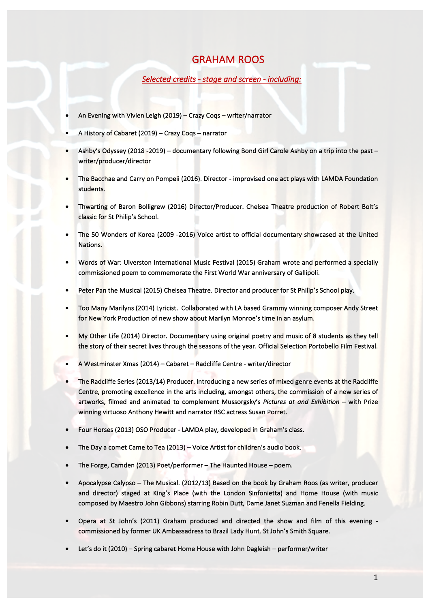## **GRAHAM ROOS**

Selected credits - stage and screen - including:

- An Evening with Vivien Leigh (2019) Crazy Coqs writer/narrator
- A History of Cabaret (2019) Crazy Coqs narrator
- Ashby's Odyssey (2018 -2019) documentary following Bond Girl Carole Ashby on a trip into the past writer/producer/director
- The Bacchae and Carry on Pompeii (2016). Director improvised one act plays with LAMDA Foundation students.
- Thwarting of Baron Bolligrew (2016) Director/Producer. Chelsea Theatre production of Robert Bolt's classic for St Philip's School.
- The 50 Wonders of Korea (2009 -2016) Voice artist to official documentary showcased at the United Nations.
- Words of War: Ulverston International Music Festival (2015) Graham wrote and performed a specially commissioned poem to commemorate the First World War anniversary of Gallipoli.
- Peter Pan the Musical (2015) Chelsea Theatre. Director and producer for St Philip's School play.
- Too Many Marilyns (2014) Lyricist. Collaborated with LA based Grammy winning composer Andy Street for New York Production of new show about Marilyn Monroe's time in an asylum.
- My Other Life (2014) Director. Documentary using original poetry and music of 8 students as they tell the story of their secret lives through the seasons of the year. Official Selection Portobello Film Festival.
- A Westminster Xmas (2014) Cabaret Radcliffe Centre writer/director
- The Radcliffe Series (2013/14) Producer. Introducing a new series of mixed genre events at the Radcliffe Centre, promoting excellence in the arts including, amongst others, the commission of a new series of artworks, filmed and animated to complement Mussorgsky's Pictures at and Exhibition - with Prize winning virtuoso Anthony Hewitt and narrator RSC actress Susan Porret.
- Four Horses (2013) OSO Producer LAMDA play, developed in Graham's class.
- The Day a comet Came to Tea (2013) Voice Artist for children's audio book.
- The Forge, Camden (2013) Poet/performer The Haunted House poem.
- Apocalypse Calypso The Musical. (2012/13) Based on the book by Graham Roos (as writer, producer and director) staged at King's Place (with the London Sinfonietta) and Home House (with music composed by Maestro John Gibbons) starring Robin Dutt, Dame Janet Suzman and Fenella Fielding.
- Opera at St John's (2011) Graham produced and directed the show and film of this evening commissioned by former UK Ambassadress to Brazil Lady Hunt. St John's Smith Square.
- Let's do it (2010) Spring cabaret Home House with John Dagleish performer/writer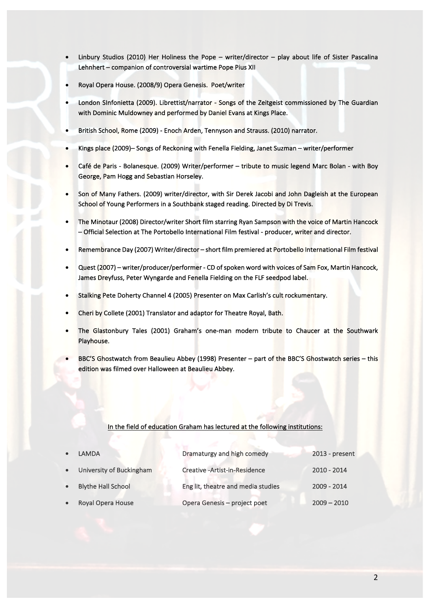- Linbury Studios (2010) Her Holiness the Pope writer/director play about life of Sister Pascalina Lehnhert – companion of controversial wartime Pope Pius XII
- Royal Opera House. (2008/9) Opera Genesis. Poet/writer
- London SInfonietta (2009). Librettist/narrator Songs of the Zeitgeist commissioned by The Guardian with Dominic Muldowney and performed by Daniel Evans at Kings Place.
- British School, Rome (2009) Enoch Arden, Tennyson and Strauss. (2010) narrator.
- Kings place (2009)– Songs of Reckoning with Fenella Fielding, Janet Suzman writer/performer
- Café de Paris Bolanesque. (2009) Writer/performer tribute to music legend Marc Bolan with Boy George, Pam Hogg and Sebastian Horseley.
- Son of Many Fathers. (2009) writer/director, with Sir Derek Jacobi and John Dagleish at the European School of Young Performers in a Southbank staged reading. Directed by Di Trevis.
- The Minotaur (2008) Director/writer Short film starring Ryan Sampson with the voice of Martin Hancock - Official Selection at The Portobello International Film festival - producer, writer and director.
- Remembrance Day (2007) Writer/director short film premiered at Portobello International Film festival
- Quest (2007) writer/producer/performer CD of spoken word with voices of Sam Fox, Martin Hancock, James Dreyfuss, Peter Wyngarde and Fenella Fielding on the FLF seedpod label.
- Stalking Pete Doherty Channel 4 (2005) Presenter on Max Carlish's cult rockumentary.
- Cheri by Collete (2001) Translator and adaptor for Theatre Royal, Bath.
- The Glastonbury Tales (2001) Graham's one-man modern tribute to Chaucer at the Southwark Playhouse.
- BBC'S Ghostwatch from Beaulieu Abbey (1998) Presenter part of the BBC'S Ghostwatch series this edition was filmed over Halloween at Beaulieu Abbey.

## In the field of education Graham has lectured at the following institutions:

| $\bullet$ | LAMDA                      | Dramaturgy and high comedy         | 2013 - present |
|-----------|----------------------------|------------------------------------|----------------|
|           | • University of Buckingham | Creative - Artist-in-Residence     | $2010 - 2014$  |
| $\bullet$ | <b>Blythe Hall School</b>  | Eng lit, theatre and media studies | 2009 - 2014    |
| $\bullet$ | Royal Opera House          | Opera Genesis - project poet       | $2009 - 2010$  |